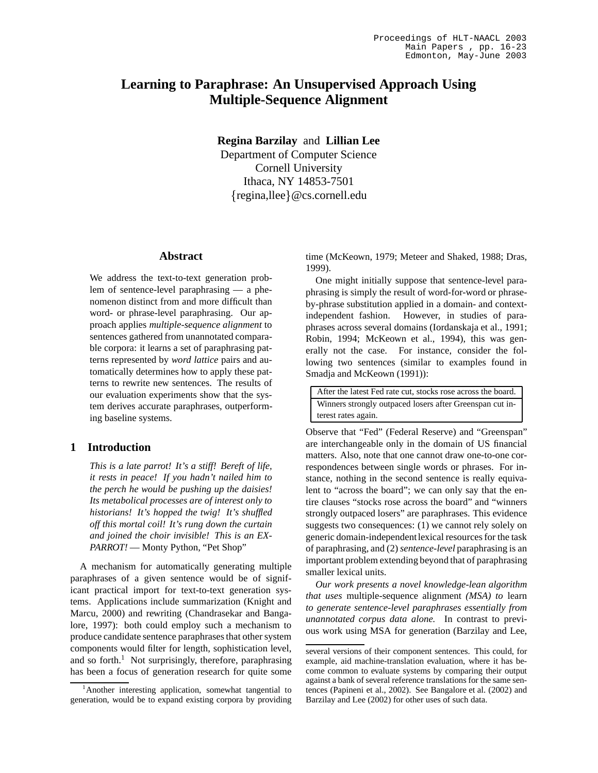# **Learning to Paraphrase: An Unsupervised Approach Using Multiple-Sequence Alignment**

**Regina Barzilay** and **Lillian Lee**

Department of Computer Science Cornell University Ithaca, NY 14853-7501  ${regina,}$ llee $} @cscornell.edu$ 

# **Abstract**

We address the text-to-text generation problem of sentence-level paraphrasing — a phenomenon distinct from and more difficult than word- or phrase-level paraphrasing. Our approach applies *multiple-sequence alignment* to sentences gathered from unannotated comparable corpora: it learns a set of paraphrasing patterns represented by *word lattice* pairs and automatically determines how to apply these patterns to rewrite new sentences. The results of our evaluation experiments show that the system derives accurate paraphrases, outperforming baseline systems.

# **1 Introduction**

*This is a late parrot! It's a stiff! Bereft of life, it rests in peace! If you hadn't nailed him to the perch he would be pushing up the daisies! Its metabolical processes are of interest only to historians! It's hopped the twig! It's shuffled off this mortal coil! It's rung down the curtain and joined the choir invisible! This is an EX-PARROT!* — Monty Python, "Pet Shop"

A mechanism for automatically generating multiple paraphrases of a given sentence would be of significant practical import for text-to-text generation systems. Applications include summarization (Knight and Marcu, 2000) and rewriting (Chandrasekar and Bangalore, 1997): both could employ such a mechanism to produce candidate sentence paraphrases that other system components would filter for length, sophistication level, and so forth. $1$  Not surprisingly, therefore, paraphrasing has been a focus of generation research for quite some time (McKeown, 1979; Meteer and Shaked, 1988; Dras, 1999).

One might initially suppose that sentence-level paraphrasing is simply the result of word-for-word or phraseby-phrase substitution applied in a domain- and contextindependent fashion. However, in studies of paraphrases across several domains (Iordanskaja et al., 1991; Robin, 1994; McKeown et al., 1994), this was generally not the case. For instance, consider the following two sentences (similar to examples found in Smadja and McKeown (1991)):

| After the latest Fed rate cut, stocks rose across the board. |
|--------------------------------------------------------------|
| Winners strongly outpaced losers after Greenspan cut in-     |
| terest rates again.                                          |

Observe that "Fed" (Federal Reserve) and "Greenspan" are interchangeable only in the domain of US financial matters. Also, note that one cannot draw one-to-one correspondences between single words or phrases. For instance, nothing in the second sentence is really equivalent to "across the board"; we can only say that the entire clauses "stocks rose across the board" and "winners strongly outpaced losers" are paraphrases. This evidence suggests two consequences: (1) we cannot rely solely on generic domain-independent lexical resources for the task of paraphrasing, and (2) *sentence-level* paraphrasing is an important problem extending beyond that of paraphrasing smaller lexical units.

*Our work presents a novel knowledge-lean algorithm that uses* multiple-sequence alignment *(MSA) to* learn *to generate sentence-level paraphrases essentially from unannotated corpus data alone.* In contrast to previous work using MSA for generation (Barzilay and Lee,

<sup>&</sup>lt;sup>1</sup>Another interesting application, somewhat tangential to generation, would be to expand existing corpora by providing

several versions of their component sentences. This could, for example, aid machine-translation evaluation, where it has become common to evaluate systems by comparing their output against a bank of several reference translations for the same sentences (Papineni et al., 2002). See Bangalore et al. (2002) and Barzilay and Lee (2002) for other uses of such data.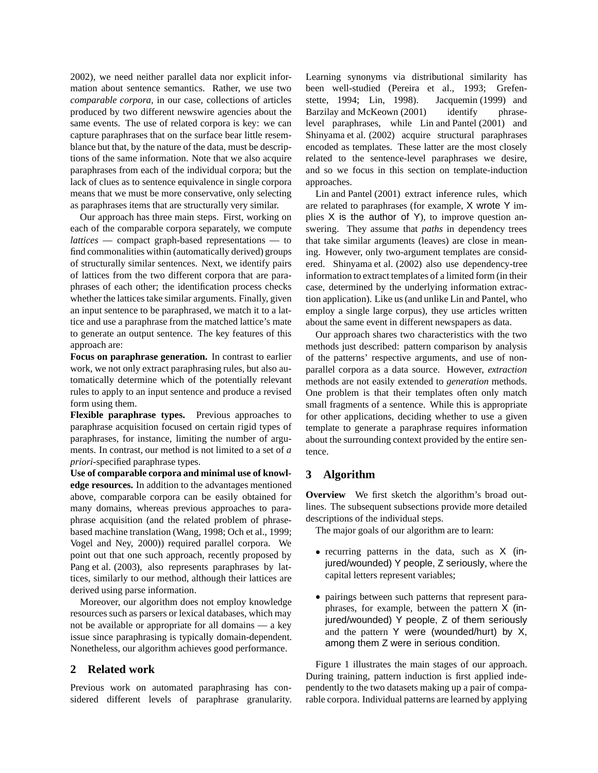2002), we need neither parallel data nor explicit information about sentence semantics. Rather, we use two *comparable corpora*, in our case, collections of articles produced by two different newswire agencies about the same events. The use of related corpora is key: we can capture paraphrases that on the surface bear little resemblance but that, by the nature of the data, must be descriptions of the same information. Note that we also acquire paraphrases from each of the individual corpora; but the lack of clues as to sentence equivalence in single corpora means that we must be more conservative, only selecting as paraphrases items that are structurally very similar.

Our approach has three main steps. First, working on each of the comparable corpora separately, we compute *lattices* — compact graph-based representations — to find commonalities within (automatically derived) groups of structurally similar sentences. Next, we identify pairs of lattices from the two different corpora that are paraphrases of each other; the identification process checks whether the lattices take similar arguments. Finally, given an input sentence to be paraphrased, we match it to a lattice and use a paraphrase from the matched lattice's mate to generate an output sentence. The key features of this approach are:

**Focus on paraphrase generation.** In contrast to earlier work, we not only extract paraphrasing rules, but also automatically determine which of the potentially relevant rules to apply to an input sentence and produce a revised form using them.

**Flexible paraphrase types.** Previous approaches to paraphrase acquisition focused on certain rigid types of paraphrases, for instance, limiting the number of arguments. In contrast, our method is not limited to a set of *a priori*-specified paraphrase types.

**Use of comparable corpora and minimal use of knowledge resources.** In addition to the advantages mentioned above, comparable corpora can be easily obtained for many domains, whereas previous approaches to paraphrase acquisition (and the related problem of phrasebased machine translation (Wang, 1998; Och et al., 1999; Vogel and Ney, 2000)) required parallel corpora. We point out that one such approach, recently proposed by Pang et al. (2003), also represents paraphrases by lattices, similarly to our method, although their lattices are derived using parse information.

Moreover, our algorithm does not employ knowledge resources such as parsers or lexical databases, which may not be available or appropriate for all domains — a key issue since paraphrasing is typically domain-dependent. Nonetheless, our algorithm achieves good performance.

# **2 Related work**

Previous work on automated paraphrasing has considered different levels of paraphrase granularity. Learning synonyms via distributional similarity has been well-studied (Pereira et al., 1993; Grefenstette, 1994; Lin, 1998). Jacquemin (1999) and Barzilay and McKeown (2001) identify phraselevel paraphrases, while Lin and Pantel (2001) and Shinyama et al. (2002) acquire structural paraphrases encoded as templates. These latter are the most closely related to the sentence-level paraphrases we desire, and so we focus in this section on template-induction approaches.

Lin and Pantel (2001) extract inference rules, which are related to paraphrases (for example, X wrote Y implies X is the author of Y), to improve question answering. They assume that *paths* in dependency trees that take similar arguments (leaves) are close in meaning. However, only two-argument templates are considered. Shinyama et al. (2002) also use dependency-tree information to extract templates of a limited form (in their case, determined by the underlying information extraction application). Like us (and unlike Lin and Pantel, who employ a single large corpus), they use articles written about the same event in different newspapers as data.

Our approach shares two characteristics with the two methods just described: pattern comparison by analysis of the patterns' respective arguments, and use of nonparallel corpora as a data source. However, *extraction* methods are not easily extended to *generation* methods. One problem is that their templates often only match small fragments of a sentence. While this is appropriate for other applications, deciding whether to use a given template to generate a paraphrase requires information about the surrounding context provided by the entire sentence.

# **3 Algorithm**

**Overview** We first sketch the algorithm's broad outlines. The subsequent subsections provide more detailed descriptions of the individual steps.

The major goals of our algorithm are to learn:

- recurring patterns in the data, such as X (injured/wounded) Y people, Z seriously, where the capital letters represent variables;
- pairings between such patterns that represent paraphrases, for example, between the pattern X (injured/wounded) Y people, Z of them seriously and the pattern Y were (wounded/hurt) by X, among them Z were in serious condition.

Figure 1 illustrates the main stages of our approach. During training, pattern induction is first applied independently to the two datasets making up a pair of comparable corpora. Individual patterns are learned by applying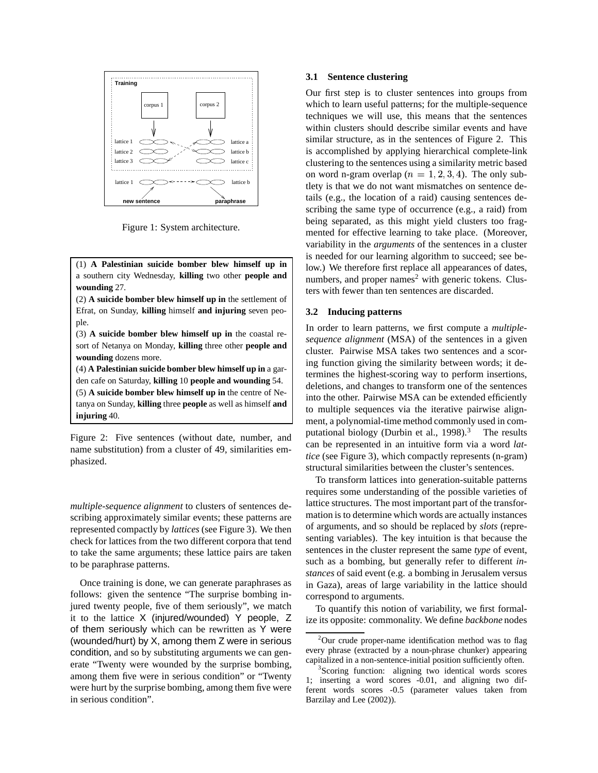

Figure 1: System architecture.

(1) **A Palestinian suicide bomber blew himself up in** a southern city Wednesday, **killing** two other **people and wounding** 27.

(2) **A suicide bomber blew himself up in** the settlement of Efrat, on Sunday, **killing** himself **and injuring** seven people.

(3) **A suicide bomber blew himself up in** the coastal resort of Netanya on Monday, **killing** three other **people and wounding** dozens more.

(4) **A Palestinian suicide bomber blew himself up in** a garden cafe on Saturday, **killing** 10 **people and wounding** 54. (5) **A suicide bomber blew himself up in** the centre of Netanya on Sunday, **killing** three **people** as well as himself **and injuring** 40.

Figure 2: Five sentences (without date, number, and name substitution) from a cluster of 49, similarities emphasized.

*multiple-sequence alignment* to clusters of sentences describing approximately similar events; these patterns are represented compactly by *lattices* (see Figure 3). We then check for lattices from the two different corpora that tend to take the same arguments; these lattice pairs are taken to be paraphrase patterns.

Once training is done, we can generate paraphrases as follows: given the sentence "The surprise bombing injured twenty people, five of them seriously", we match it to the lattice X (injured/wounded) Y people, Z of them seriously which can be rewritten as Y were (wounded/hurt) by X, among them Z were in serious condition, and so by substituting arguments we can generate "Twenty were wounded by the surprise bombing, among them five were in serious condition" or "Twenty were hurt by the surprise bombing, among them five were in serious condition".

#### **3.1 Sentence clustering**

Our first step is to cluster sentences into groups from which to learn useful patterns; for the multiple-sequence techniques we will use, this means that the sentences within clusters should describe similar events and have similar structure, as in the sentences of Figure 2. This is accomplished by applying hierarchical complete-link clustering to the sentences using a similarity metric based on word n-gram overlap ( $n = 1, 2, 3, 4$ ). The only subtlety is that we do not want mismatches on sentence details (e.g., the location of a raid) causing sentences describing the same type of occurrence (e.g., a raid) from being separated, as this might yield clusters too fragmented for effective learning to take place. (Moreover, variability in the *arguments* of the sentences in a cluster is needed for our learning algorithm to succeed; see below.) We therefore first replace all appearances of dates, numbers, and proper names $2$  with generic tokens. Clusters with fewer than ten sentences are discarded.

### **3.2 Inducing patterns**

In order to learn patterns, we first compute a *multiplesequence alignment* (MSA) of the sentences in a given cluster. Pairwise MSA takes two sentences and a scoring function giving the similarity between words; it determines the highest-scoring way to perform insertions, deletions, and changes to transform one of the sentences into the other. Pairwise MSA can be extended efficiently to multiple sequences via the iterative pairwise alignment, a polynomial-time method commonly used in computational biology (Durbin et al.,  $1998$ ).<sup>3</sup> The results can be represented in an intuitive form via a word *lattice* (see Figure 3), which compactly represents (n-gram) structural similarities between the cluster's sentences.

To transform lattices into generation-suitable patterns requires some understanding of the possible varieties of lattice structures. The most important part of the transformation is to determine which words are actually instances of arguments, and so should be replaced by *slots* (representing variables). The key intuition is that because the sentences in the cluster represent the same *type* of event, such as a bombing, but generally refer to different *instances* of said event (e.g. a bombing in Jerusalem versus in Gaza), areas of large variability in the lattice should correspond to arguments.

To quantify this notion of variability, we first formalize its opposite: commonality. We define *backbone* nodes

 $2$ Our crude proper-name identification method was to flag every phrase (extracted by a noun-phrase chunker) appearing capitalized in a non-sentence-initial position sufficiently often.

<sup>&</sup>lt;sup>3</sup>Scoring function: aligning two identical words scores 1; inserting a word scores -0.01, and aligning two different words scores -0.5 (parameter values taken from Barzilay and Lee (2002)).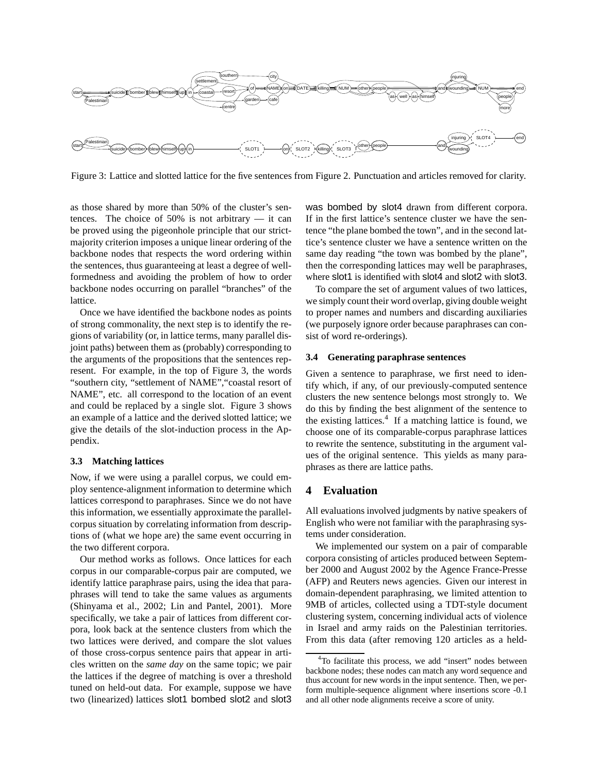

Figure 3: Lattice and slotted lattice for the five sentences from Figure 2. Punctuation and articles removed for clarity.

as those shared by more than 50% of the cluster's sentences. The choice of  $50\%$  is not arbitrary — it can be proved using the pigeonhole principle that our strictmajority criterion imposes a unique linear ordering of the backbone nodes that respects the word ordering within the sentences, thus guaranteeing at least a degree of wellformedness and avoiding the problem of how to order backbone nodes occurring on parallel "branches" of the lattice.

Once we have identified the backbone nodes as points of strong commonality, the next step is to identify the regions of variability (or, in lattice terms, many parallel disjoint paths) between them as (probably) corresponding to the arguments of the propositions that the sentences represent. For example, in the top of Figure 3, the words "southern city, "settlement of NAME","coastal resort of NAME", etc. all correspond to the location of an event and could be replaced by a single slot. Figure 3 shows an example of a lattice and the derived slotted lattice; we give the details of the slot-induction process in the Appendix.

#### **3.3 Matching lattices**

Now, if we were using a parallel corpus, we could employ sentence-alignment information to determine which lattices correspond to paraphrases. Since we do not have this information, we essentially approximate the parallelcorpus situation by correlating information from descriptions of (what we hope are) the same event occurring in the two different corpora.

Our method works as follows. Once lattices for each corpus in our comparable-corpus pair are computed, we identify lattice paraphrase pairs, using the idea that paraphrases will tend to take the same values as arguments (Shinyama et al., 2002; Lin and Pantel, 2001). More specifically, we take a pair of lattices from different corpora, look back at the sentence clusters from which the two lattices were derived, and compare the slot values of those cross-corpus sentence pairs that appear in articles written on the *same day* on the same topic; we pair the lattices if the degree of matching is over a threshold tuned on held-out data. For example, suppose we have two (linearized) lattices slot1 bombed slot2 and slot3 was bombed by slot4 drawn from different corpora. If in the first lattice's sentence cluster we have the sentence "the plane bombed the town", and in the second lattice's sentence cluster we have a sentence written on the same day reading "the town was bombed by the plane", then the corresponding lattices may well be paraphrases, where slot1 is identified with slot4 and slot2 with slot3.

To compare the set of argument values of two lattices, we simply count their word overlap, giving double weight to proper names and numbers and discarding auxiliaries (we purposely ignore order because paraphrases can consist of word re-orderings).

#### **3.4 Generating paraphrase sentences**

Given a sentence to paraphrase, we first need to identify which, if any, of our previously-computed sentence clusters the new sentence belongs most strongly to. We do this by finding the best alignment of the sentence to the existing lattices.<sup>4</sup> If a matching lattice is found, we choose one of its comparable-corpus paraphrase lattices to rewrite the sentence, substituting in the argument values of the original sentence. This yields as many paraphrases as there are lattice paths.

### **4 Evaluation**

All evaluations involved judgments by native speakers of English who were not familiar with the paraphrasing systems under consideration.

We implemented our system on a pair of comparable corpora consisting of articles produced between September 2000 and August 2002 by the Agence France-Presse (AFP) and Reuters news agencies. Given our interest in domain-dependent paraphrasing, we limited attention to 9MB of articles, collected using a TDT-style document clustering system, concerning individual acts of violence in Israel and army raids on the Palestinian territories. From this data (after removing 120 articles as a held-

<sup>4</sup>To facilitate this process, we add "insert" nodes between backbone nodes; these nodes can match any word sequence and thus account for new words in the input sentence. Then, we perform multiple-sequence alignment where insertions score -0.1 and all other node alignments receive a score of unity.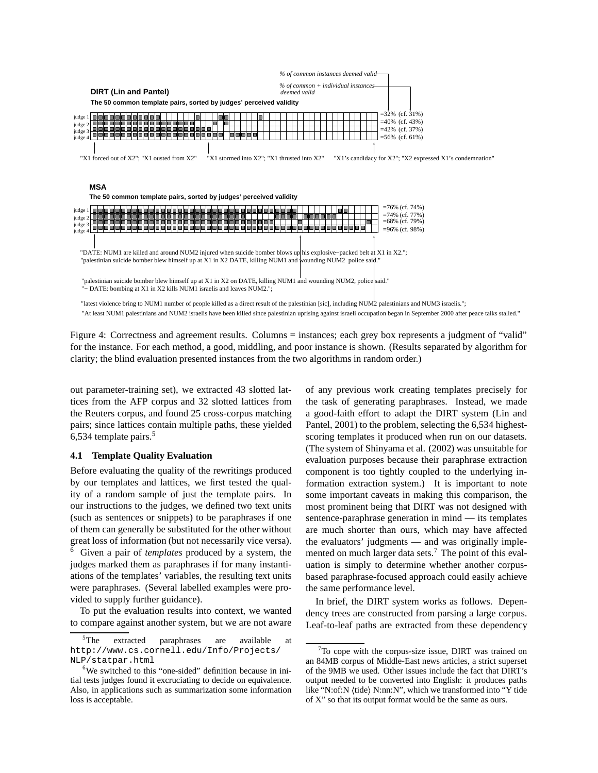

Figure 4: Correctness and agreement results. Columns = instances; each grey box represents a judgment of "valid" for the instance. For each method, a good, middling, and poor instance is shown. (Results separated by algorithm for clarity; the blind evaluation presented instances from the two algorithms in random order.)

out parameter-training set), we extracted 43 slotted lattices from the AFP corpus and 32 slotted lattices from the Reuters corpus, and found 25 cross-corpus matching pairs; since lattices contain multiple paths, these yielded 6,534 template pairs.<sup>5</sup>

### **4.1 Template Quality Evaluation**

Before evaluating the quality of the rewritings produced by our templates and lattices, we first tested the quality of a random sample of just the template pairs. In our instructions to the judges, we defined two text units (such as sentences or snippets) to be paraphrases if one of them can generally be substituted for the other without great loss of information (but not necessarily vice versa).  $\overline{6}$  Given a pair of *templates* produced by a system, the judges marked them as paraphrases if for many instantiations of the templates' variables, the resulting text units were paraphrases. (Several labelled examples were provided to supply further guidance).

To put the evaluation results into context, we wanted to compare against another system, but we are not aware

of any previous work creating templates precisely for the task of generating paraphrases. Instead, we made a good-faith effort to adapt the DIRT system (Lin and Pantel, 2001) to the problem, selecting the 6,534 highestscoring templates it produced when run on our datasets. (The system of Shinyama et al. (2002) was unsuitable for evaluation purposes because their paraphrase extraction component is too tightly coupled to the underlying information extraction system.) It is important to note some important caveats in making this comparison, the most prominent being that DIRT was not designed with sentence-paraphrase generation in mind — its templates are much shorter than ours, which may have affected the evaluators' judgments — and was originally implemented on much larger data sets.<sup>7</sup> The point of this evaluation is simply to determine whether another corpusbased paraphrase-focused approach could easily achieve the same performance level.

In brief, the DIRT system works as follows. Dependency trees are constructed from parsing a large corpus. Leaf-to-leaf paths are extracted from these dependency

 $5$ The extracted paraphrases are available at http://www.cs.cornell.edu/Info/Projects/ NLP/statpar.html

<sup>6</sup>We switched to this "one-sided" definition because in initial tests judges found it excruciating to decide on equivalence. Also, in applications such as summarization some information loss is acceptable.

<sup>&</sup>lt;sup>7</sup>To cope with the corpus-size issue, DIRT was trained on an 84MB corpus of Middle-East news articles, a strict superset of the 9MB we used. Other issues include the fact that DIRT's output needed to be converted into English: it produces paths like "N:of:N  $\langle$  tide $\rangle$  N:nn:N", which we transformed into "Y tide of X" so that its output format would be the same as ours.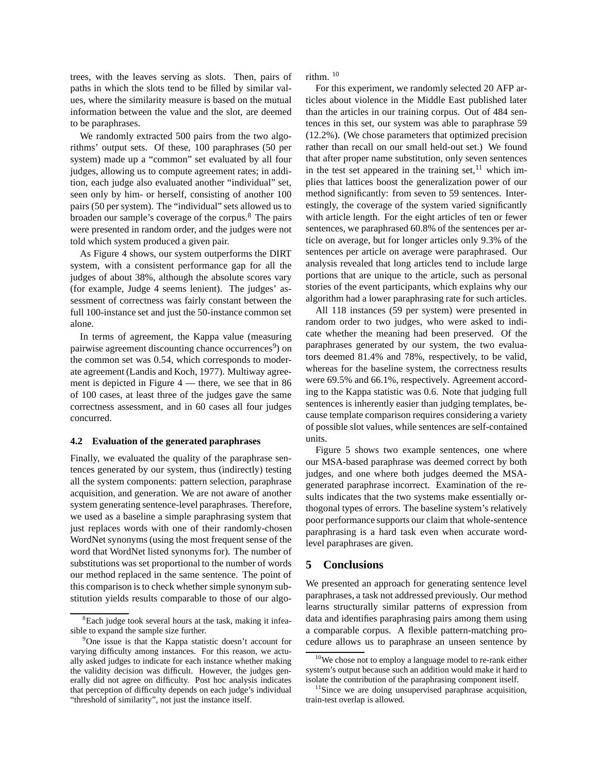trees, with the leaves serving as slots. Then, pairs of paths in which the slots tend to be filled by similar values, where the similarity measure is based on the mutual information between the value and the slot, are deemed to be paraphrases.

We randomly extracted 500 pairs from the two algorithms' output sets. Of these, 100 paraphrases (50 per system) made up a "common" set evaluated by all four judges, allowing us to compute agreement rates; in addition, each judge also evaluated another "individual" set, seen only by him- or herself, consisting of another 100 pairs (50 per system). The "individual" sets allowed us to broaden our sample's coverage of the corpus.<sup>8</sup> The pairs were presented in random order, and the judges were not told which system produced a given pair.

As Figure 4 shows, our system outperforms the DIRT system, with a consistent performance gap for all the judges of about 38%, although the absolute scores vary (for example, Judge 4 seems lenient). The judges' assessment of correctness was fairly constant between the full 100-instance set and just the 50-instance common set alone.

In terms of agreement, the Kappa value (measuring pairwise agreement discounting chance occurrences<sup>9</sup>) on the common set was 0.54, which corresponds to moderate agreement (Landis and Koch, 1977). Multiway agreement is depicted in Figure  $4$  — there, we see that in 86 of 100 cases, at least three of the judges gave the same correctness assessment, and in 60 cases all four judges concurred.

#### **4.2 Evaluation of the generated paraphrases**

Finally, we evaluated the quality of the paraphrase sentences generated by our system, thus (indirectly) testing all the system components: pattern selection, paraphrase acquisition, and generation. We are not aware of another system generating sentence-level paraphrases. Therefore, we used as a baseline a simple paraphrasing system that just replaces words with one of their randomly-chosen WordNet synonyms (using the most frequent sense of the word that WordNet listed synonyms for). The number of substitutions was set proportional to the number of words our method replaced in the same sentence. The point of this comparison is to check whether simple synonym substitution yields results comparable to those of our algorithm. <sup>10</sup>

For this experiment, we randomly selected 20 AFP articles about violence in the Middle East published later than the articles in our training corpus. Out of 484 sentences in this set, our system was able to paraphrase 59 (12.2%). (We chose parameters that optimized precision rather than recall on our small held-out set.) We found that after proper name substitution, only seven sentences in the test set appeared in the training set, $^{11}$  which implies that lattices boost the generalization power of our method significantly: from seven to 59 sentences. Interestingly, the coverage of the system varied significantly with article length. For the eight articles of ten or fewer sentences, we paraphrased 60.8% of the sentences per article on average, but for longer articles only 9.3% of the sentences per article on average were paraphrased. Our analysis revealed that long articles tend to include large portions that are unique to the article, such as personal stories of the event participants, which explains why our algorithm had a lower paraphrasing rate for such articles.

All 118 instances (59 per system) were presented in random order to two judges, who were asked to indicate whether the meaning had been preserved. Of the paraphrases generated by our system, the two evaluators deemed 81.4% and 78%, respectively, to be valid, whereas for the baseline system, the correctness results were 69.5% and 66.1%, respectively. Agreement according to the Kappa statistic was 0.6. Note that judging full sentences is inherently easier than judging templates, because template comparison requires considering a variety of possible slot values, while sentences are self-contained units.

Figure 5 shows two example sentences, one where our MSA-based paraphrase was deemed correct by both judges, and one where both judges deemed the MSAgenerated paraphrase incorrect. Examination of the results indicates that the two systems make essentially orthogonal types of errors. The baseline system's relatively poor performance supports our claim that whole-sentence paraphrasing is a hard task even when accurate wordlevel paraphrases are given.

### **5 Conclusions**

We presented an approach for generating sentence level paraphrases, a task not addressed previously. Our method learns structurally similar patterns of expression from data and identifies paraphrasing pairs among them using a comparable corpus. A flexible pattern-matching procedure allows us to paraphrase an unseen sentence by

<sup>&</sup>lt;sup>8</sup>Each judge took several hours at the task, making it infeasible to expand the sample size further.

<sup>&</sup>lt;sup>9</sup>One issue is that the Kappa statistic doesn't account for varying difficulty among instances. For this reason, we actually asked judges to indicate for each instance whether making the validity decision was difficult. However, the judges generally did not agree on difficulty. Post hoc analysis indicates that perception of difficulty depends on each judge's individual "threshold of similarity", not just the instance itself.

<sup>&</sup>lt;sup>10</sup>We chose not to employ a language model to re-rank either system's output because such an addition would make it hard to isolate the contribution of the paraphrasing component itself.

<sup>&</sup>lt;sup>11</sup>Since we are doing unsupervised paraphrase acquisition, train-test overlap is allowed.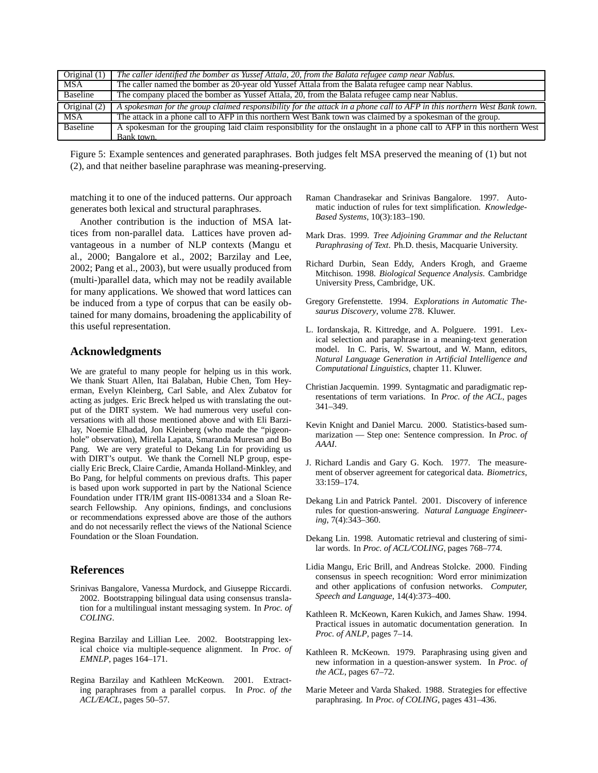| Original $(1)$  | The caller identified the bomber as Yussef Attala, 20, from the Balata refugee camp near Nablus.                        |
|-----------------|-------------------------------------------------------------------------------------------------------------------------|
| <b>MSA</b>      | The caller named the bomber as 20-year old Yussef Attala from the Balata refugee camp near Nablus.                      |
| Baseline        | The company placed the bomber as Yussef Attala, 20, from the Balata refugee camp near Nablus.                           |
| Original (2)    | A spokesman for the group claimed responsibility for the attack in a phone call to AFP in this northern West Bank town. |
| <b>MSA</b>      | The attack in a phone call to AFP in this northern West Bank town was claimed by a spokesman of the group.              |
| <b>Baseline</b> | A spokesman for the grouping laid claim responsibility for the onslaught in a phone call to AFP in this northern West   |
|                 | Bank town.                                                                                                              |

Figure 5: Example sentences and generated paraphrases. Both judges felt MSA preserved the meaning of (1) but not (2), and that neither baseline paraphrase was meaning-preserving.

matching it to one of the induced patterns. Our approach generates both lexical and structural paraphrases.

Another contribution is the induction of MSA lattices from non-parallel data. Lattices have proven advantageous in a number of NLP contexts (Mangu et al., 2000; Bangalore et al., 2002; Barzilay and Lee, 2002; Pang et al., 2003), but were usually produced from (multi-)parallel data, which may not be readily available for many applications. We showed that word lattices can be induced from a type of corpus that can be easily obtained for many domains, broadening the applicability of this useful representation.

#### **Acknowledgments**

We are grateful to many people for helping us in this work. We thank Stuart Allen, Itai Balaban, Hubie Chen, Tom Heyerman, Evelyn Kleinberg, Carl Sable, and Alex Zubatov for acting as judges. Eric Breck helped us with translating the output of the DIRT system. We had numerous very useful conversations with all those mentioned above and with Eli Barzilay, Noemie Elhadad, Jon Kleinberg (who made the "pigeonhole" observation), Mirella Lapata, Smaranda Muresan and Bo Pang. We are very grateful to Dekang Lin for providing us with DIRT's output. We thank the Cornell NLP group, especially Eric Breck, Claire Cardie, Amanda Holland-Minkley, and Bo Pang, for helpful comments on previous drafts. This paper is based upon work supported in part by the National Science Foundation under ITR/IM grant IIS-0081334 and a Sloan Research Fellowship. Any opinions, findings, and conclusions or recommendations expressed above are those of the authors and do not necessarily reflect the views of the National Science Foundation or the Sloan Foundation.

### **References**

- Srinivas Bangalore, Vanessa Murdock, and Giuseppe Riccardi. 2002. Bootstrapping bilingual data using consensus translation for a multilingual instant messaging system. In *Proc. of COLING*.
- Regina Barzilay and Lillian Lee. 2002. Bootstrapping lexical choice via multiple-sequence alignment. In *Proc. of EMNLP*, pages 164–171.
- Regina Barzilay and Kathleen McKeown. 2001. Extracting paraphrases from a parallel corpus. In *Proc. of the ACL/EACL*, pages 50–57.
- Raman Chandrasekar and Srinivas Bangalore. 1997. Automatic induction of rules for text simplification. *Knowledge-Based Systems*, 10(3):183–190.
- Mark Dras. 1999. *Tree Adjoining Grammar and the Reluctant Paraphrasing of Text*. Ph.D. thesis, Macquarie University.
- Richard Durbin, Sean Eddy, Anders Krogh, and Graeme Mitchison. 1998. *Biological Sequence Analysis*. Cambridge University Press, Cambridge, UK.
- Gregory Grefenstette. 1994. *Explorations in Automatic Thesaurus Discovery*, volume 278. Kluwer.
- L. Iordanskaja, R. Kittredge, and A. Polguere. 1991. Lexical selection and paraphrase in a meaning-text generation model. In C. Paris, W. Swartout, and W. Mann, editors, *Natural Language Generation in Artificial Intelligence and Computational Linguistics*, chapter 11. Kluwer.
- Christian Jacquemin. 1999. Syntagmatic and paradigmatic representations of term variations. In *Proc. of the ACL*, pages 341–349.
- Kevin Knight and Daniel Marcu. 2000. Statistics-based summarization — Step one: Sentence compression. In *Proc. of AAAI*.
- J. Richard Landis and Gary G. Koch. 1977. The measurement of observer agreement for categorical data. *Biometrics*, 33:159–174.
- Dekang Lin and Patrick Pantel. 2001. Discovery of inference rules for question-answering. *Natural Language Engineering*, 7(4):343–360.
- Dekang Lin. 1998. Automatic retrieval and clustering of similar words. In *Proc. of ACL/COLING*, pages 768–774.
- Lidia Mangu, Eric Brill, and Andreas Stolcke. 2000. Finding consensus in speech recognition: Word error minimization and other applications of confusion networks. *Computer, Speech and Language*, 14(4):373–400.
- Kathleen R. McKeown, Karen Kukich, and James Shaw. 1994. Practical issues in automatic documentation generation. In *Proc. of ANLP*, pages 7–14.
- Kathleen R. McKeown. 1979. Paraphrasing using given and new information in a question-answer system. In *Proc. of the ACL*, pages 67–72.
- Marie Meteer and Varda Shaked. 1988. Strategies for effective paraphrasing. In *Proc. of COLING*, pages 431–436.